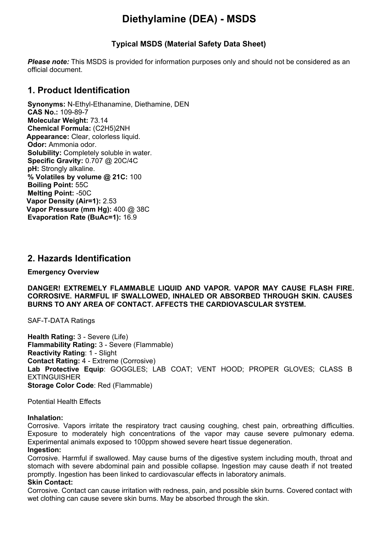# **Diethylamine (DEA) - MSDS**

## **Typical MSDS (Material Safety Data Sheet)**

*Please note:* This MSDS is provided for information purposes only and should not be considered as an official document.

## **1. Product Identification**

**Synonyms:** N-Ethyl-Ethanamine, Diethamine, DEN **CAS No.:** 109-89-7 **Molecular Weight:** 73.14 **Chemical Formula:** (C2H5)2NH **Appearance:** Clear, colorless liquid. **Odor:** Ammonia odor. **Solubility:** Completely soluble in water. **Specific Gravity:** 0.707 @ 20C/4C **pH:** Strongly alkaline. **% Volatiles by volume @ 21C:** 100 **Boiling Point:** 55C **Melting Point:** -50C **Vapor Density (Air=1):** 2.53 **Vapor Pressure (mm Hg):** 400 @ 38C **Evaporation Rate (BuAc=1):** 16.9

## **2. Hazards Identification**

**Emergency Overview**

**DANGER! EXTREMELY FLAMMABLE LIQUID AND VAPOR. VAPOR MAY CAUSE FLASH FIRE. CORROSIVE. HARMFUL IF SWALLOWED, INHALED OR ABSORBED THROUGH SKIN. CAUSES BURNS TO ANY AREA OF CONTACT. AFFECTS THE CARDIOVASCULAR SYSTEM.**

SAF-T-DATA Ratings

**Health Rating:** 3 - Severe (Life) **Flammability Rating:** 3 - Severe (Flammable) **Reactivity Rating**: 1 - Slight **Contact Rating:** 4 - Extreme (Corrosive) **Lab Protective Equip**: GOGGLES; LAB COAT; VENT HOOD; PROPER GLOVES; CLASS B EXTINGUISHER **Storage Color Code**: Red (Flammable)

Potential Health Effects

#### **Inhalation:**

Corrosive. Vapors irritate the respiratory tract causing coughing, chest pain, orbreathing difficulties. Exposure to moderately high concentrations of the vapor may cause severe pulmonary edema. Experimental animals exposed to 100ppm showed severe heart tissue degeneration. **Ingestion:**

Corrosive. Harmful if swallowed. May cause burns of the digestive system including mouth, throat and stomach with severe abdominal pain and possible collapse. Ingestion may cause death if not treated promptly. Ingestion has been linked to cardiovascular effects in laboratory animals.

#### **Skin Contact:**

Corrosive. Contact can cause irritation with redness, pain, and possible skin burns. Covered contact with wet clothing can cause severe skin burns. May be absorbed through the skin.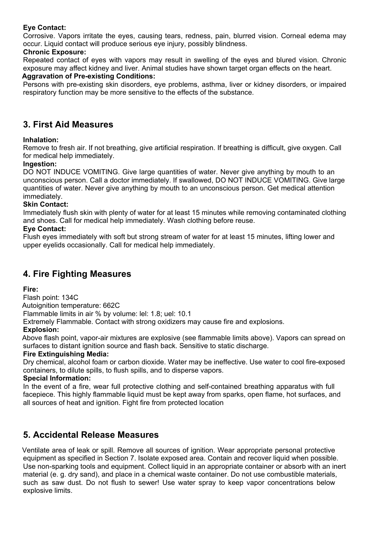## **Eye Contact:**

Corrosive. Vapors irritate the eyes, causing tears, redness, pain, blurred vision. Corneal edema may occur. Liquid contact will produce serious eye injury, possibly blindness.

### **Chronic Exposure:**

Repeated contact of eyes with vapors may result in swelling of the eyes and blured vision. Chronic exposure may affect kidney and liver. Animal studies have shown target organ effects on the heart.

### **Aggravation of Pre-existing Conditions:**

Persons with pre-existing skin disorders, eye problems, asthma, liver or kidney disorders, or impaired respiratory function may be more sensitive to the effects of the substance.

## **3. First Aid Measures**

### **Inhalation:**

Remove to fresh air. If not breathing, give artificial respiration. If breathing is difficult, give oxygen. Call for medical help immediately.

### **Ingestion:**

DO NOT INDUCE VOMITING. Give large quantities of water. Never give anything by mouth to an unconscious person. Call a doctor immediately. If swallowed, DO NOT INDUCE VOMITING. Give large quantities of water. Never give anything by mouth to an unconscious person. Get medical attention immediately.

### **Skin Contact:**

Immediately flush skin with plenty of water for at least 15 minutes while removing contaminated clothing and shoes. Call for medical help immediately. Wash clothing before reuse.

### **Eye Contact:**

Flush eyes immediately with soft but strong stream of water for at least 15 minutes, lifting lower and upper eyelids occasionally. Call for medical help immediately.

## **4. Fire Fighting Measures**

### **Fire:**

Flash point: 134C

Autoignition temperature: 662C

Flammable limits in air % by volume: lel: 1.8; uel: 10.1

Extremely Flammable. Contact with strong oxidizers may cause fire and explosions.

### **Explosion:**

Above flash point, vapor-air mixtures are explosive (see flammable limits above). Vapors can spread on surfaces to distant ignition source and flash back. Sensitive to static discharge.

### **Fire Extinguishing Media:**

Dry chemical, alcohol foam or carbon dioxide. Water may be ineffective. Use water to cool fire-exposed containers, to dilute spills, to flush spills, and to disperse vapors.

#### **Special Information:**

In the event of a fire, wear full protective clothing and self-contained breathing apparatus with full facepiece. This highly flammable liquid must be kept away from sparks, open flame, hot surfaces, and all sources of heat and ignition. Fight fire from protected location

## **5. Accidental Release Measures**

Ventilate area of leak or spill. Remove all sources of ignition. Wear appropriate personal protective equipment as specified in Section 7. Isolate exposed area. Contain and recover liquid when possible. Use non-sparking tools and equipment. Collect liquid in an appropriate container or absorb with an inert material (e. g. dry sand), and place in a chemical waste container. Do not use combustible materials, such as saw dust. Do not flush to sewer! Use water spray to keep vapor concentrations below explosive limits.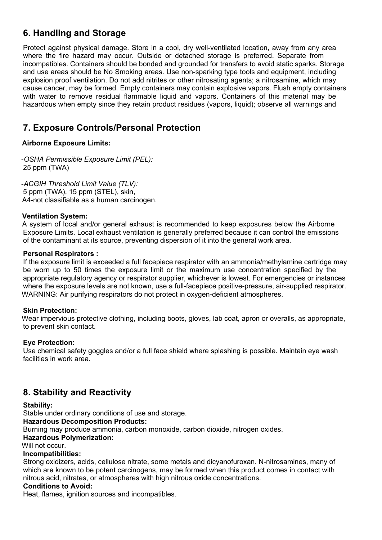# **6. Handling and Storage**

Protect against physical damage. Store in a cool, dry well-ventilated location, away from any area where the fire hazard may occur. Outside or detached storage is preferred. Separate from incompatibles. Containers should be bonded and grounded for transfers to avoid static sparks. Storage and use areas should be No Smoking areas. Use non-sparking type tools and equipment, including explosion proof ventilation. Do not add nitrites or other nitrosating agents; a nitrosamine, which may cause cancer, may be formed. Empty containers may contain explosive vapors. Flush empty containers with water to remove residual flammable liquid and vapors. Containers of this material may be hazardous when empty since they retain product residues (vapors, liquid); observe all warnings and

# **7. Exposure Controls/Personal Protection**

### **Airborne Exposure Limits:**

-*OSHA Permissible Exposure Limit (PEL):* 25 ppm (TWA)

-*ACGIH Threshold Limit Value (TLV):* 5 ppm (TWA), 15 ppm (STEL), skin, A4-not classifiable as a human carcinogen.

### **Ventilation System:**

A system of local and/or general exhaust is recommended to keep exposures below the Airborne Exposure Limits. Local exhaust ventilation is generally preferred because it can control the emissions of the contaminant at its source, preventing dispersion of it into the general work area.

### **Personal Respirators :**

If the exposure limit is exceeded a full facepiece respirator with an ammonia/methylamine cartridge may be worn up to 50 times the exposure limit or the maximum use concentration specified by the appropriate regulatory agency or respirator supplier, whichever is lowest. For emergencies or instances where the exposure levels are not known, use a full-facepiece positive-pressure, air-supplied respirator. WARNING: Air purifying respirators do not protect in oxygen-deficient atmospheres.

### **Skin Protection:**

Wear impervious protective clothing, including boots, gloves, lab coat, apron or overalls, as appropriate, to prevent skin contact.

## **Eye Protection:**

Use chemical safety goggles and/or a full face shield where splashing is possible. Maintain eye wash facilities in work area.

# **8. Stability and Reactivity**

### **Stability:**

Stable under ordinary conditions of use and storage.

### **Hazardous Decomposition Products:**

Burning may produce ammonia, carbon monoxide, carbon dioxide, nitrogen oxides.

### **Hazardous Polymerization:**

Will not occur.

### **Incompatibilities:**

Strong oxidizers, acids, cellulose nitrate, some metals and dicyanofuroxan. N-nitrosamines, many of which are known to be potent carcinogens, may be formed when this product comes in contact with nitrous acid, nitrates, or atmospheres with high nitrous oxide concentrations.

### **Conditions to Avoid:**

Heat, flames, ignition sources and incompatibles.